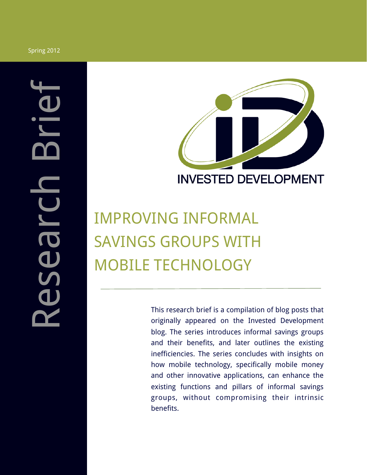

# IMPROVING INFORMAL SAVINGS GROUPS WITH MOBILE TECHNOLOGY

This research brief is a compilation of blog posts that originally appeared on the Invested Development blog. The series introduces informal savings groups and their benefits, and later outlines the existing inefficiencies. The series concludes with insights on how mobile technology, specifically mobile money and other innovative applications, can enhance the existing functions and pillars of informal savings groups, without compromising their intrinsic benefits.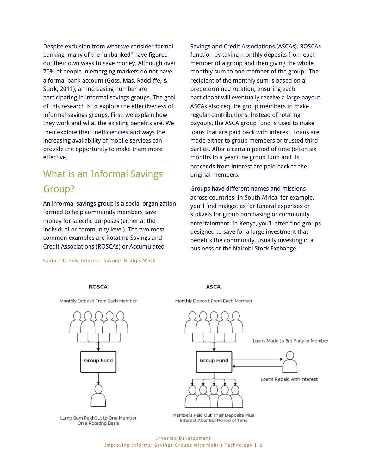Despite exclusion from what we consider formal banking, many of the "unbanked" have figured out their own ways to save money. Although over 70% of people in emerging markets do not have a formal bank account (Goss, Mas, Radcliffe, & Stark, 2011), an increasing number are participating in informal savings groups. The goal of this research is to explore the effectiveness of informal savings groups. First, we explain how they work and what the existing benefits are. We then explore their inefficiencies and ways the increasing availability of mobile services can provide the opportunity to make them more effective.

### What is an Informal Savings Group?

An informal savings group is a social organization formed to help community members save money for specific purposes (either at the individual or community level). The two most common examples are Rotating Savings and Credit Associations (ROSCAs) or Accumulated

Exhibit 1: How Informal Savings Groups Work

Savings and Credit Associations (ASCAs). ROSCAs function by taking monthly deposits from each member of a group and then giving the whole monthly sum to one member of the group. The recipient of the monthly sum is based on a predetermined rotation, ensuring each participant will eventually receive a large payout. ASCAs also require group members to make regular contributions. Instead of rotating payouts, the ASCA group fund is used to make loans that are paid back with interest. Loans are made either to group members or trusted third parties. After a certain period of time (often six months to a year) the group fund and its proceeds from interest are paid back to the original members.

Groups have different names and missions across countries. In South Africa, for example, you'll find makgotlas for funeral expenses or stokvels for group purchasing or community entertainment. In Kenya, you'll often find groups designed to save for a large investment that benefits the community, usually investing in a business or the Nairobi Stock Exchange.



**ASCA** 

**ROSCA**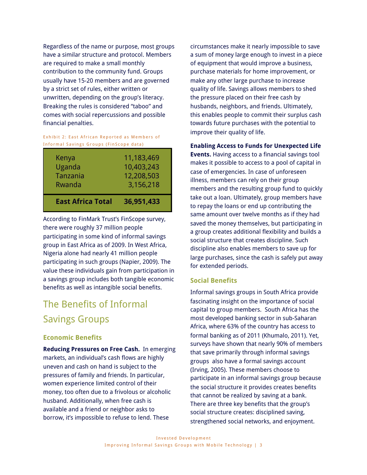Regardless of the name or purpose, most groups have a similar structure and protocol. Members are required to make a small monthly contribution to the community fund. Groups usually have 15-20 members and are governed by a strict set of rules, either written or unwritten, depending on the group's literacy. Breaking the rules is considered "taboo" and comes with social repercussions and possible financial penalties.

#### Exhibit 2: East African Reported as Members of Informal Savings Groups (FinScope data)

| <b>East Africa Total</b>              | 36,951,433                                          |
|---------------------------------------|-----------------------------------------------------|
| Kenya<br>Uganda<br>Tanzania<br>Rwanda | 11,183,469<br>10,403,243<br>12,208,503<br>3,156,218 |
|                                       |                                                     |

According to FinMark Trust's FinScope survey, there were roughly 37 million people participating in some kind of informal savings group in East Africa as of 2009. In West Africa, Nigeria alone had nearly 41 million people participating in such groups (Napier, 2009). The value these individuals gain from participation in a savings group includes both tangible economic benefits as well as intangible social benefits.

## The Benefits of Informal Savings Groups

### **Economic Benefits**

**Reducing Pressures on Free Cash.** In emerging markets, an individual's cash flows are highly uneven and cash on hand is subject to the pressures of family and friends. In particular, women experience limited control of their money, too often due to a frivolous or alcoholic husband. Additionally, when free cash is available and a friend or neighbor asks to borrow, it's impossible to refuse to lend. These

circumstances make it nearly impossible to save a sum of money large enough to invest in a piece of equipment that would improve a business, purchase materials for home improvement, or make any other large purchase to increase quality of life. Savings allows members to shed the pressure placed on their free cash by husbands, neighbors, and friends. Ultimately, this enables people to commit their surplus cash towards future purchases with the potential to improve their quality of life.

**Enabling Access to Funds for Unexpected Life** 

**Events.** Having access to a financial savings tool makes it possible to access to a pool of capital in case of emergencies. In case of unforeseen illness, members can rely on their group members and the resulting group fund to quickly take out a loan. Ultimately, group members have to repay the loans or end up contributing the same amount over twelve months as if they had saved the money themselves, but participating in a group creates additional flexibility and builds a social structure that creates discipline. Such discipline also enables members to save up for large purchases, since the cash is safely put away for extended periods.

### **Social Benefits**

Informal savings groups in South Africa provide fascinating insight on the importance of social capital to group members. South Africa has the most developed banking sector in sub-Saharan Africa, where 63% of the country has access to formal banking as of 2011 (Khumalo, 2011). Yet, surveys have shown that nearly 90% of members that save primarily through informal savings groups also have a formal savings account (Irving, 2005). These members choose to participate in an informal savings group because the social structure it provides creates benefits that cannot be realized by saving at a bank. There are three key benefits that the group's social structure creates: disciplined saving, strengthened social networks, and enjoyment.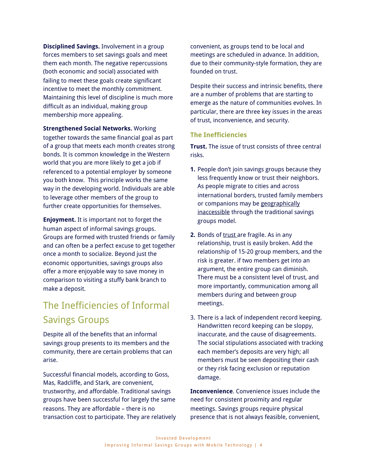**Disciplined Savings.** Involvement in a group forces members to set savings goals and meet them each month. The negative repercussions (both economic and social) associated with failing to meet these goals create significant incentive to meet the monthly commitment. Maintaining this level of discipline is much more difficult as an individual, making group membership more appealing.

**Strengthened Social Networks.** Working together towards the same financial goal as part of a group that meets each month creates strong bonds. It is common knowledge in the Western world that you are more likely to get a job if referenced to a potential employer by someone you both know. This principle works the same way in the developing world. Individuals are able to leverage other members of the group to further create opportunities for themselves.

**Enjoyment.** It is important not to forget the human aspect of informal savings groups. Groups are formed with trusted friends or family and can often be a perfect excuse to get together once a month to socialize. Beyond just the economic opportunities, savings groups also offer a more enjoyable way to save money in comparison to visiting a stuffy bank branch to make a deposit.

### The Inefficiencies of Informal Savings Groups

Despite all of the benefits that an informal savings group presents to its members and the community, there are certain problems that can arise.

Successful financial models, according to Goss, Mas, Radcliffe, and Stark, are convenient, trustworthy, and affordable. Traditional savings groups have been successful for largely the same reasons. They are affordable – there is no transaction cost to participate. They are relatively convenient, as groups tend to be local and meetings are scheduled in advance. In addition, due to their community-style formation, they are founded on trust.

Despite their success and intrinsic benefits, there are a number of problems that are starting to emerge as the nature of communities evolves. In particular, there are three key issues in the areas of trust, inconvenience, and security.

### **The Inefficiencies**

**Trust.** The issue of trust consists of three central risks.

- **1.** People don't join savings groups because they less frequently know or trust their neighbors. As people migrate to cities and across international borders, trusted family members or companions may be geographically inaccessible through the traditional savings groups model.
- **2.** Bonds of trust are fragile. As in any relationship, trust is easily broken. Add the relationship of 15-20 group members, and the risk is greater. if two members get into an argument, the entire group can diminish. There must be a consistent level of trust, and more importantly, communication among all members during and between group meetings.
- 3. There is a lack of independent record keeping. Handwritten record keeping can be sloppy, inaccurate, and the cause of disagreements. The social stipulations associated with tracking each member's deposits are very high; all members must be seen depositing their cash or they risk facing exclusion or reputation damage.

**Inconvenience**. Convenience issues include the need for consistent proximity and regular meetings. Savings groups require physical presence that is not always feasible, convenient,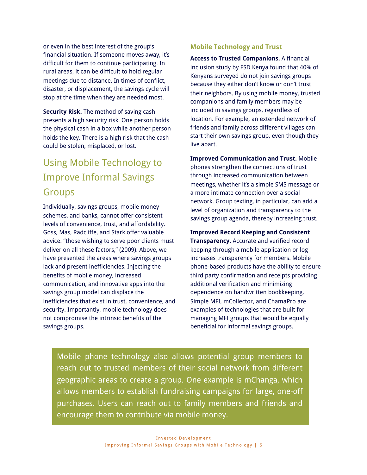or even in the best interest of the group's financial situation. If someone moves away, it's difficult for them to continue participating. In rural areas, it can be difficult to hold regular meetings due to distance. In times of conflict, disaster, or displacement, the savings cycle will stop at the time when they are needed most.

**Security Risk.** The method of saving cash presents a high security risk. One person holds the physical cash in a box while another person holds the key. There is a high risk that the cash could be stolen, misplaced, or lost.

### Using Mobile Technology to Improve Informal Savings Groups

Individually, savings groups, mobile money schemes, and banks, cannot offer consistent levels of convenience, trust, and affordability. Goss, Mas, Radcliffe, and Stark offer valuable advice: "those wishing to serve poor clients must deliver on all these factors," (2009). Above, we have presented the areas where savings groups lack and present inefficiencies. Injecting the benefits of mobile money, increased communication, and innovative apps into the savings group model can displace the inefficiencies that exist in trust, convenience, and security. Importantly, mobile technology does not compromise the intrinsic benefits of the savings groups.

#### **Mobile Technology and Trust**

**Access to Trusted Companions.** A financial inclusion study by FSD Kenya found that 40% of Kenyans surveyed do not join savings groups because they either don't know or don't trust their neighbors. By using mobile money, trusted companions and family members may be included in savings groups, regardless of location. For example, an extended network of friends and family across different villages can start their own savings group, even though they live apart.

**Improved Communication and Trust.** Mobile phones strengthen the connections of trust through increased communication between meetings, whether it's a simple SMS message or a more intimate connection over a social network. Group texting, in particular, can add a level of organization and transparency to the savings group agenda, thereby increasing trust.

**Improved Record Keeping and Consistent Transparency.** Accurate and verified record keeping through a mobile application or log increases transparency for members. Mobile phone-based products have the ability to ensure third party confirmation and receipts providing additional verification and minimizing dependence on handwritten bookkeeping. [Simple MFI,](http://www.simplemfi.org/) [mCollector](http://www.youtube.com/watch?v=YM8ysI_R57c), and [ChamaPro](http://www.chamapro.com/) are examples of technologies that are built for managing MFI groups that would be equally beneficial for informal savings groups.

Mobile phone technology also allows potential group members to reach out to trusted members of their social network from different geographic areas to create a group. One example is [mChanga,](http://changa.co.ke/) which allows members to establish fundraising campaigns for large, one-off purchases. Users can reach out to family members and friends and encourage them to contribute via mobile money.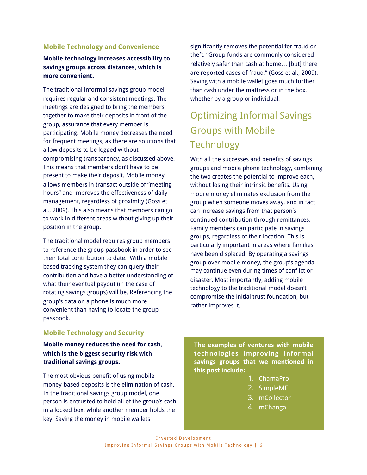#### **Mobile Technology and Convenience**

#### **Mobile technology increases accessibility to savings groups across distances, which is more convenient.**

The traditional informal savings group model requires regular and consistent meetings. The meetings are designed to bring the members together to make their deposits in front of the group, assurance that every member is participating. Mobile money decreases the need for frequent meetings, as there are solutions that allow deposits to be logged without compromising transparency, as discussed above. This means that members don't have to be present to make their deposit. Mobile money allows members in transact outside of "meeting hours" and improves the effectiveness of daily management, regardless of proximity (Goss et al., 2009). This also means that members can go to work in different areas without giving up their position in the group.

The traditional model requires group members to reference the group passbook in order to see their total contribution to date. With a mobile based tracking system they can query their contribution and have a better understanding of what their eventual payout (in the case of rotating savings groups) will be. Referencing the group's data on a phone is much more convenient than having to locate the group passbook.

significantly removes the potential for fraud or theft. "Group funds are commonly considered relatively safer than cash at home… [but] there are reported cases of fraud," (Goss et al., 2009). Saving with a mobile wallet goes much further than cash under the mattress or in the box, whether by a group or individual.

## Optimizing Informal Savings Groups with Mobile **Technology**

With all the successes and benefits of savings groups and mobile phone technology, combining the two creates the potential to improve each, without losing their intrinsic benefits. Using mobile money eliminates exclusion from the group when someone moves away, and in fact can increase savings from that person's continued contribution through remittances. Family members can participate in savings groups, regardless of their location. This is particularly important in areas where families have been displaced. By operating a savings group over mobile money, the group's agenda may continue even during times of conflict or disaster. Most importantly, adding mobile technology to the traditional model doesn't compromise the initial trust foundation, but rather improves it.

#### **Mobile Technology and Security**

#### **Mobile money reduces the need for cash, which is the biggest security risk with traditional savings groups.**

The most obvious benefit of using mobile money-based deposits is the elimination of cash. In the traditional savings group model, one person is entrusted to hold all of the group's cash in a locked box, while another member holds the key. Saving the money in mobile wallets

**The examples of ventures with mobile technologies\$ improving\$ informal\$** savings groups that we mentioned in **this post include:** 

- 1. ChamaPro(
- 2. SimpleMFI
- 3. mCollector(
- 4. mChanga(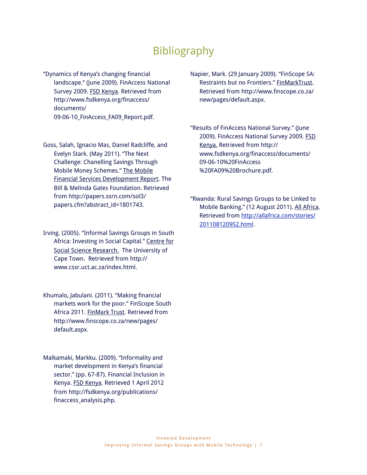### Bibliography

"Dynamics of Kenya's changing financial landscape." (June 2009). FinAccess National Survey 2009. FSD Kenya. Retrieved from [http://www.fsdkenya.org/finaccess/](http://www.fsdkenya.org/finaccess/documents/09-06-10_FinAccess_FA09_Report.pdf) [documents/](http://www.fsdkenya.org/finaccess/documents/09-06-10_FinAccess_FA09_Report.pdf) 09-06-10 FinAccess FA09 Report.pdf.

Goss, Salah, Ignacio Mas, Daniel Radcliffe, and Evelyn Stark. (May 2011). "The Next Challenge: Chanelling Savings Through Mobile Money Schemes." The Mobile Financial Services Development Report. The Bill & Melinda Gates Foundation. Retrieved from [http://papers.ssrn.com/sol3/](http://papers.ssrn.com/sol3/papers.cfm?abstract_id=1801743) [papers.cfm?abstract\\_id=1801743.](http://papers.ssrn.com/sol3/papers.cfm?abstract_id=1801743)

Irving. (2005). "Informal Savings Groups in South Africa: Investing in Social Capital." Centre for Social Science Research. The University of Cape Town. Retrieved from [http://](http://www.cssr.uct.ac.za/index.html) [www.cssr.uct.ac.za/index.html](http://www.cssr.uct.ac.za/index.html).

- Khumalo, Jabulani. (2011). "Making financial markets work for the poor." FinScope South Africa 2011. FinMark Trust. Retrieved from [http://www.finscope.co.za/new/pages/](http://www.finscope.co.za/new/pages/default.aspx) [default.aspx](http://www.finscope.co.za/new/pages/default.aspx).
- Malkamaki, Markku. (2009). "Informality and market development in Kenya's financial sector." (pp. 67-87). Financial Inclusion in Kenya. FSD Kenya. Retrieved 1 April 2012 from [http://fsdkenya.org/publications/](http://fsdkenya.org/publications/finaccess_analysis.php) [finaccess\\_analysis.php.](http://fsdkenya.org/publications/finaccess_analysis.php)

Napier, Mark. (29 January 2009). "FinScope SA: Restraints but no Frontiers." FinMarkTrust. Retrieved from [http://www.finscope.co.za/](http://www.finscope.co.za/new/pages/default.aspx) [new/pages/default.aspx](http://www.finscope.co.za/new/pages/default.aspx).

"Results of FinAccess National Survey." (June 2009). FinAccess National Survey 2009. FSD Kenya. Retrieved from [http://](http://www.fsdkenya.org/finaccess/documents/09-06-10%20FinAccess%20FA09%20Brochure.pdf) [www.fsdkenya.org/finaccess/documents/](http://www.fsdkenya.org/finaccess/documents/09-06-10%20FinAccess%20FA09%20Brochure.pdf) [09-06-10%20FinAccess](http://www.fsdkenya.org/finaccess/documents/09-06-10%20FinAccess%20FA09%20Brochure.pdf) [%20FA09%20Brochure.pdf.](http://www.fsdkenya.org/finaccess/documents/09-06-10%20FinAccess%20FA09%20Brochure.pdf)

"Rwanda: Rural Savings Groups to be Linked to Mobile Banking." (12 August 2011). All Africa. Retrieved from [http://allafrica.com/stories/](http://allafrica.com/stories/201108120952.html) [201108120952.html.](http://allafrica.com/stories/201108120952.html)